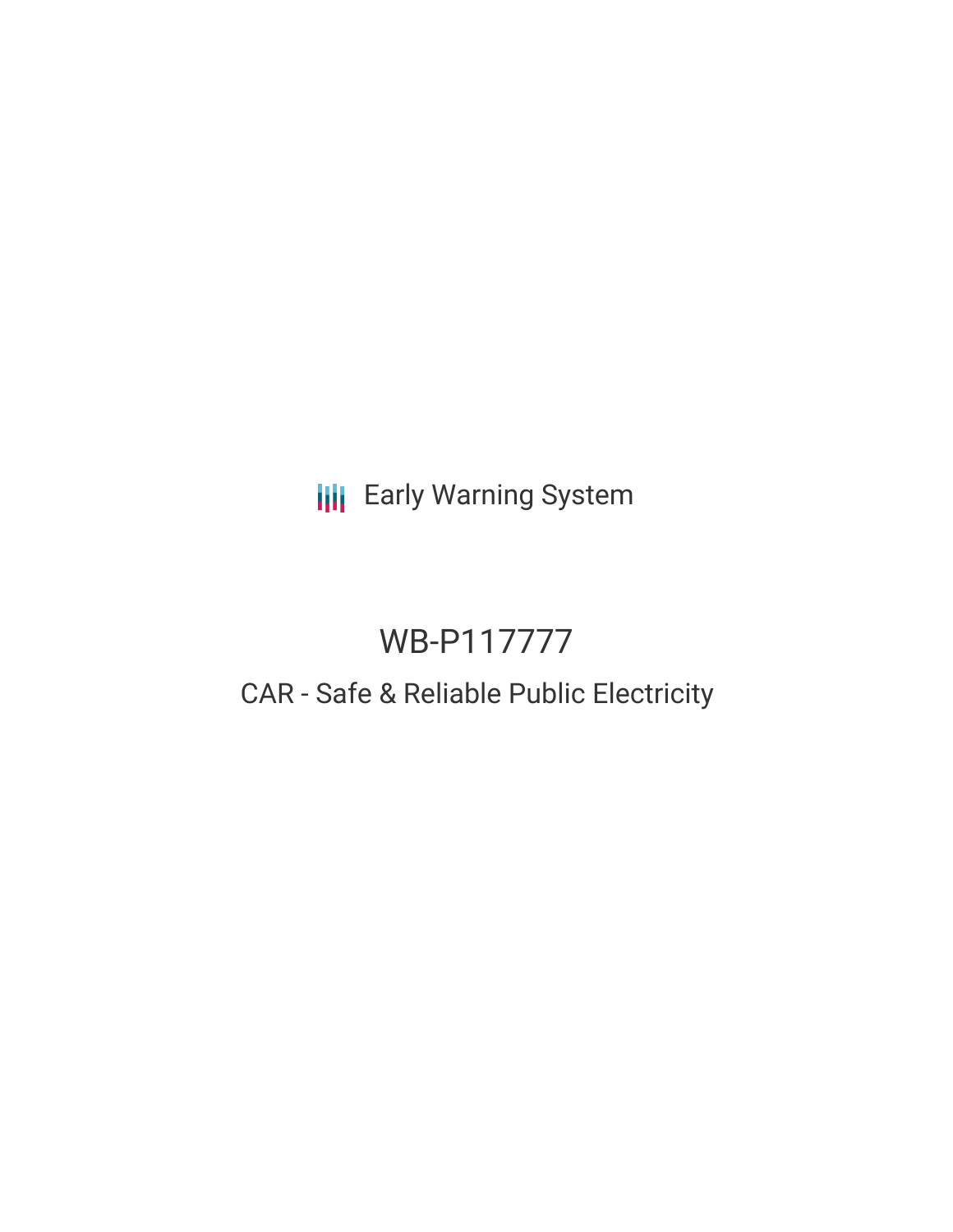**III** Early Warning System

# WB-P117777

# CAR - Safe & Reliable Public Electricity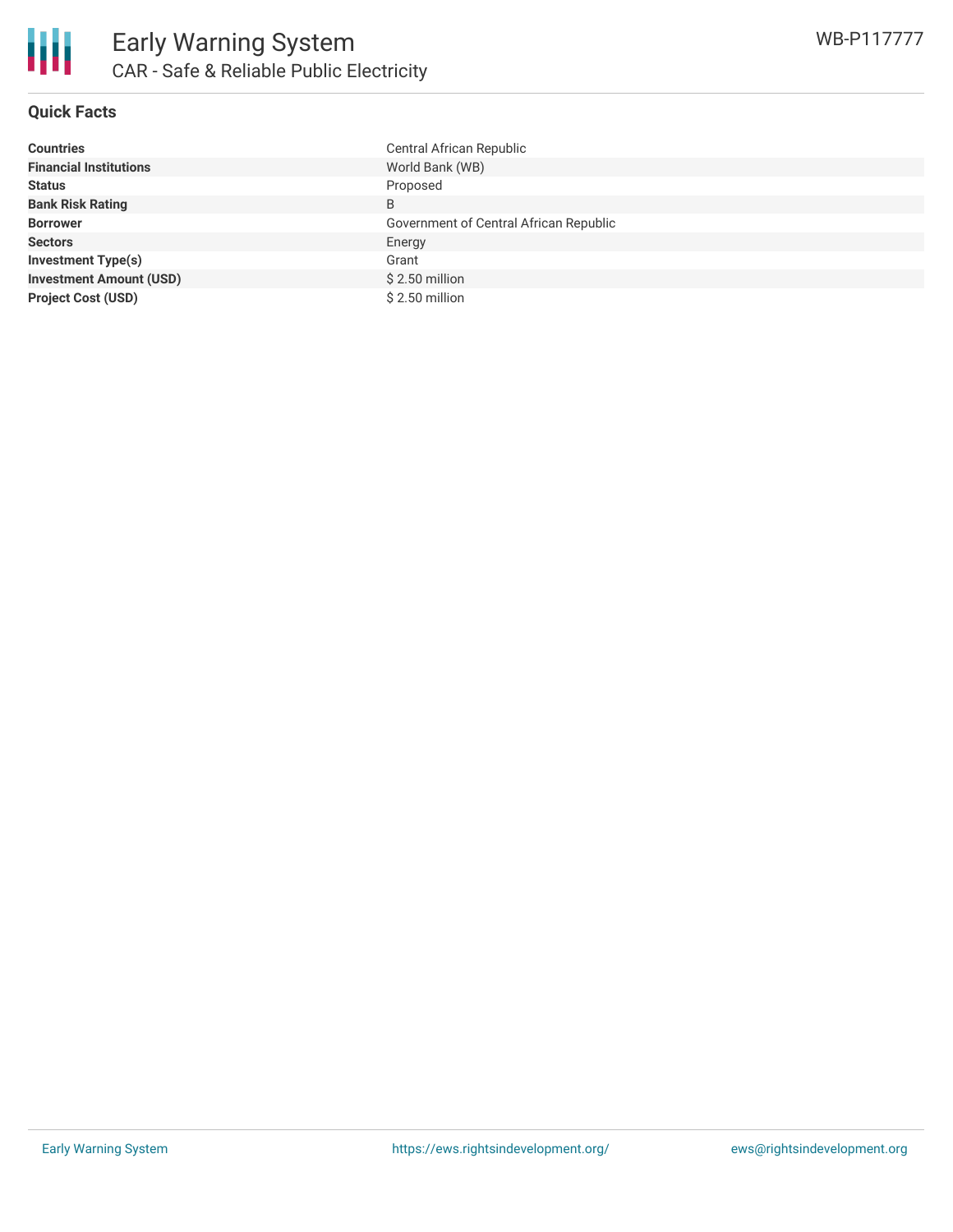

### **Quick Facts**

| <b>Countries</b>               | Central African Republic               |
|--------------------------------|----------------------------------------|
| <b>Financial Institutions</b>  | World Bank (WB)                        |
| <b>Status</b>                  | Proposed                               |
| <b>Bank Risk Rating</b>        | B                                      |
| <b>Borrower</b>                | Government of Central African Republic |
| <b>Sectors</b>                 | Energy                                 |
| <b>Investment Type(s)</b>      | Grant                                  |
| <b>Investment Amount (USD)</b> | $$2.50$ million                        |
| <b>Project Cost (USD)</b>      | $$2.50$ million                        |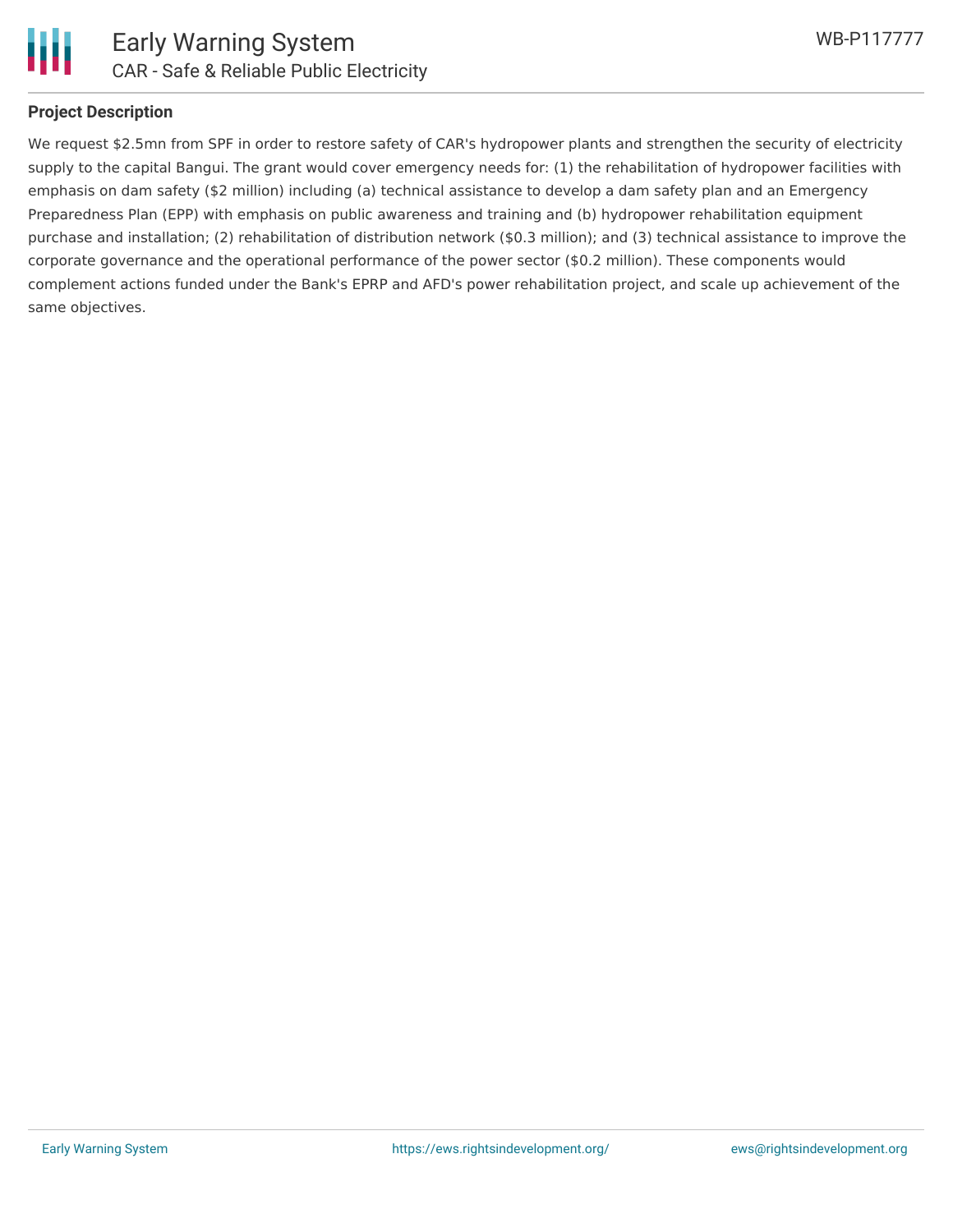

## **Project Description**

We request \$2.5mn from SPF in order to restore safety of CAR's hydropower plants and strengthen the security of electricity supply to the capital Bangui. The grant would cover emergency needs for: (1) the rehabilitation of hydropower facilities with emphasis on dam safety (\$2 million) including (a) technical assistance to develop a dam safety plan and an Emergency Preparedness Plan (EPP) with emphasis on public awareness and training and (b) hydropower rehabilitation equipment purchase and installation; (2) rehabilitation of distribution network (\$0.3 million); and (3) technical assistance to improve the corporate governance and the operational performance of the power sector (\$0.2 million). These components would complement actions funded under the Bank's EPRP and AFD's power rehabilitation project, and scale up achievement of the same objectives.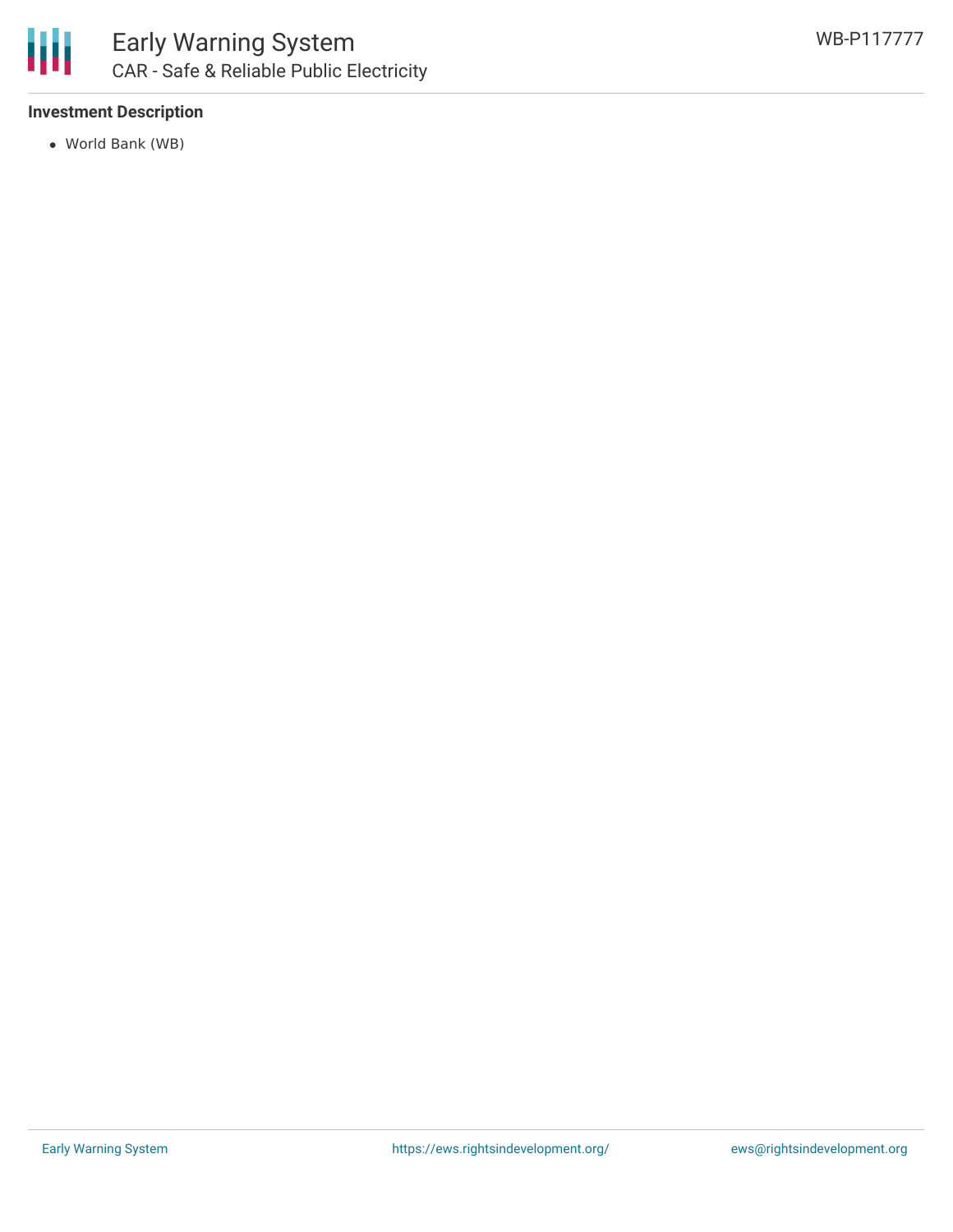

## **Investment Description**

World Bank (WB)